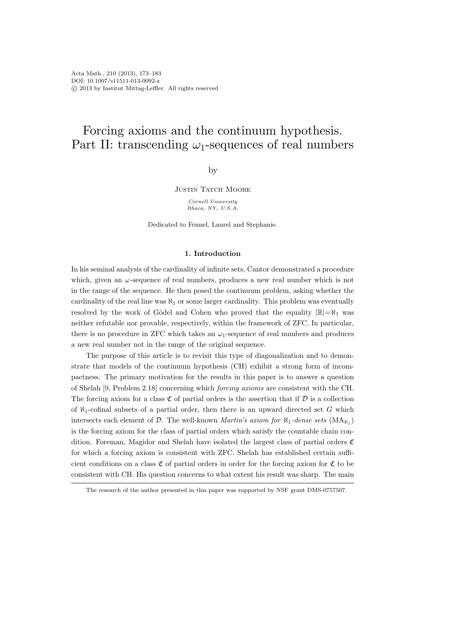# Forcing axioms and the continuum hypothesis. Part II: transcending  $\omega_1$ -sequences of real numbers

by

**JUSTIN TATCH MOORE** 

Cornell University Ithaca, NY, U.S.A.

Dedicated to Fennel, Laurel and Stephanie.

## 1. Introduction

In his seminal analysis of the cardinality of infinite sets, Cantor demonstrated a procedure which, given an  $\omega$ -sequence of real numbers, produces a new real number which is not in the range of the sequence. He then posed the continuum problem, asking whether the cardinality of the real line was  $\aleph_1$  or some larger cardinality. This problem was eventually resolved by the work of Gödel and Cohen who proved that the equality  $|\mathbb{R}| = \aleph_1$  was neither refutable nor provable, respectively, within the framework of ZFC. In particular, there is no procedure in ZFC which takes an  $\omega_1$ -sequence of real numbers and produces a new real number not in the range of the original sequence.

The purpose of this article is to revisit this type of diagonalization and to demonstrate that models of the continuum hypothesis (CH) exhibit a strong form of incompactness. The primary motivation for the results in this paper is to answer a question of Shelah [\[9,](#page-10-0) Problem 2.18] concerning which forcing axioms are consistent with the CH. The forcing axiom for a class  $\mathfrak C$  of partial orders is the assertion that if  $\mathcal D$  is a collection of  $\aleph_1$ -cofinal subsets of a partial order, then there is an upward directed set G which intersects each element of D. The well-known *Martin's axiom for*  $\aleph_1$ -dense sets  $(MA_{\aleph_1})$ is the forcing axiom for the class of partial orders which satisfy the countable chain condition. Foreman, Magidor and Shelah have isolated the largest class of partial orders C for which a forcing axiom is consistent with ZFC. Shelah has established certain sufficient conditions on a class  $\mathfrak C$  of partial orders in order for the forcing axiom for  $\mathfrak C$  to be consistent with CH. His question concerns to what extent his result was sharp. The main

The research of the author presented in this paper was supported by NSF grant DMS-0757507.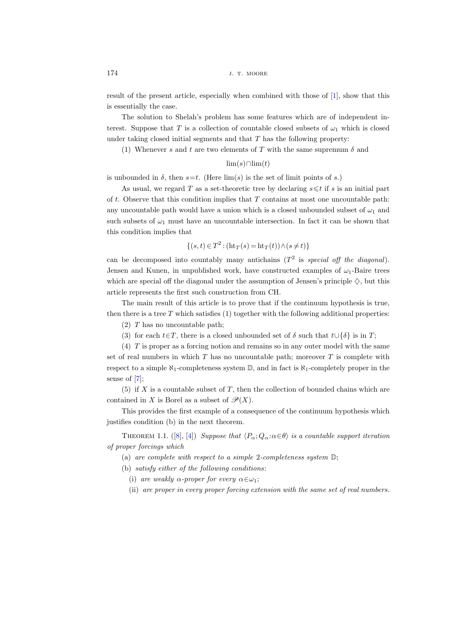result of the present article, especially when combined with those of [\[1\]](#page-10-1), show that this is essentially the case.

The solution to Shelah's problem has some features which are of independent interest. Suppose that T is a collection of countable closed subsets of  $\omega_1$  which is closed under taking closed initial segments and that  $T$  has the following property:

(1) Whenever s and t are two elements of T with the same supremum  $\delta$  and

# $\lim(s)$ ∩ $\lim(t)$

is unbounded in  $\delta$ , then  $s=t$ . (Here  $\lim(s)$  is the set of limit points of s.)

As usual, we regard T as a set-theoretic tree by declaring  $s \leq t$  if s is an initial part of  $t$ . Observe that this condition implies that  $T$  contains at most one uncountable path: any uncountable path would have a union which is a closed unbounded subset of  $\omega_1$  and such subsets of  $\omega_1$  must have an uncountable intersection. In fact it can be shown that this condition implies that

$$
\{(s,t)\in T^2 : (\text{ht}_T(s) = \text{ht}_T(t)) \wedge (s \neq t)\}\
$$

can be decomposed into countably many antichains  $(T^2$  is special off the diagonal). Jensen and Kunen, in unpublished work, have constructed examples of  $\omega_1$ -Baire trees which are special off the diagonal under the assumption of Jensen's principle  $\diamondsuit$ , but this article represents the first such construction from CH.

The main result of this article is to prove that if the continuum hypothesis is true, then there is a tree  $T$  which satisfies  $(1)$  together with the following additional properties:

(2) T has no uncountable path;

(3) for each  $t \in T$ , there is a closed unbounded set of  $\delta$  such that  $t \cup {\delta}$  is in T;

(4) T is proper as a forcing notion and remains so in any outer model with the same set of real numbers in which  $T$  has no uncountable path; moreover  $T$  is complete with respect to a simple  $\aleph_1$ -completeness system  $\mathbb{D}$ , and in fact is  $\aleph_1$ -completely proper in the sense of [\[7\]](#page-10-2);

(5) if  $X$  is a countable subset of  $T$ , then the collection of bounded chains which are contained in X is Borel as a subset of  $\mathcal{P}(X)$ .

This provides the first example of a consequence of the continuum hypothesis which justifies condition (b) in the next theorem.

THEOREM 1.1. ([\[8\]](#page-10-3), [\[4\]](#page-10-4)) Suppose that  $\langle P_\alpha; Q_\alpha : \alpha \in \theta \rangle$  is a countable support iteration of proper forcings which

(a) are complete with respect to a simple 2-completeness system  $\mathbb{D}$ ;

(b) satisfy either of the following conditions:

- (i) are weakly  $\alpha$ -proper for every  $\alpha \in \omega_1$ ;
- (ii) are proper in every proper forcing extension with the same set of real numbers.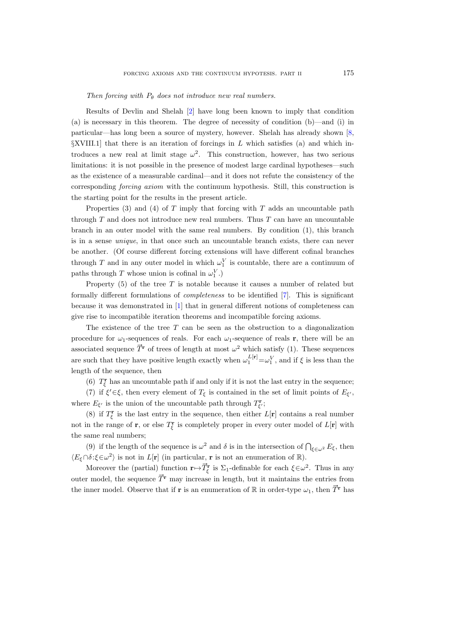Then forcing with  $P_{\theta}$  does not introduce new real numbers.

Results of Devlin and Shelah [\[2\]](#page-10-5) have long been known to imply that condition (a) is necessary in this theorem. The degree of necessity of condition (b)—and (i) in particular—has long been a source of mystery, however. Shelah has already shown [\[8,](#page-10-3)  $\SXVIII.1$  that there is an iteration of forcings in L which satisfies (a) and which introduces a new real at limit stage  $\omega^2$ . This construction, however, has two serious limitations: it is not possible in the presence of modest large cardinal hypotheses—such as the existence of a measurable cardinal—and it does not refute the consistency of the corresponding forcing axiom with the continuum hypothesis. Still, this construction is the starting point for the results in the present article.

Properties (3) and (4) of  $T$  imply that forcing with  $T$  adds an uncountable path through  $T$  and does not introduce new real numbers. Thus  $T$  can have an uncountable branch in an outer model with the same real numbers. By condition (1), this branch is in a sense unique, in that once such an uncountable branch exists, there can never be another. (Of course different forcing extensions will have different cofinal branches through T and in any outer model in which  $\omega_1^V$  is countable, there are a continuum of paths through T whose union is cofinal in  $\omega_1^V$ .)

Property  $(5)$  of the tree T is notable because it causes a number of related but formally different formulations of completeness to be identified [\[7\]](#page-10-2). This is significant because it was demonstrated in [\[1\]](#page-10-1) that in general different notions of completeness can give rise to incompatible iteration theorems and incompatible forcing axioms.

The existence of the tree  $T$  can be seen as the obstruction to a diagonalization procedure for  $\omega_1$ -sequences of reals. For each  $\omega_1$ -sequence of reals **r**, there will be an The existence of the tree T can be seen as the obstruction to a diagonalization<br>procedure for  $\omega_1$ -sequences of reals. For each  $\omega_1$ -sequence of reals **r**, there will be an<br>associated sequence  $\vec{T}^{\mathbf{r}}$  of trees o are such that they have positive length exactly when  $\omega_1^{L[\mathbf{r}]} = \omega_1^V$ , and if  $\xi$  is less than the length of the sequence, then

(6)  $T_{\xi}^{r}$  has an uncountable path if and only if it is not the last entry in the sequence;

(7) if  $\xi' \in \xi$ , then every element of  $T_{\xi}$  is contained in the set of limit points of  $E_{\xi'}$ , where  $E_{\xi'}$  is the union of the uncountable path through  $T_{\xi'}^{\mathbf{r}}$ ;

(8) if  $T_{\xi}^{\mathbf{r}}$  is the last entry in the sequence, then either  $L[\mathbf{r}]$  contains a real number not in the range of **r**, or else  $T_{\xi}^{\mathbf{r}}$  is completely proper in every outer model of  $L[\mathbf{r}]$  with the same real numbers;

(9) if the length of the sequence is  $\omega^2$  and  $\delta$  is in the intersection of  $\bigcap_{\xi \in \omega^2} E_{\xi}$ , then  $\langle E_{\xi} \cap \delta : \xi \in \omega^2 \rangle$  is not in  $L[\mathbf{r}]$  (in particular, **r** is not an enumeration of  $\mathbb{R}$ ). (9) if the length of the sequence is  $\omega^2$ <br>  $\delta \hat{\tau} \in \omega^2$  is not in  $L[\mathbf{r}]$  (in particular,  $\vec{\tau}$ )<br>
Moreover the (partial) function  $\mathbf{r} \mapsto \vec{T}_{\xi}$ 

 $\zeta^{\mathbf{r}}$  is  $\Sigma_1$ -definable for each  $\xi \in \omega^2$ . Thus in any outer model, the sequence  $\vec{T}$ <sup>r</sup> may increase in length, but it maintains the entries from the inner model. Observe that if **r** is an enumeration of R in order-type  $\omega_1$ , then  $\vec{T}$ <sup>r</sup> has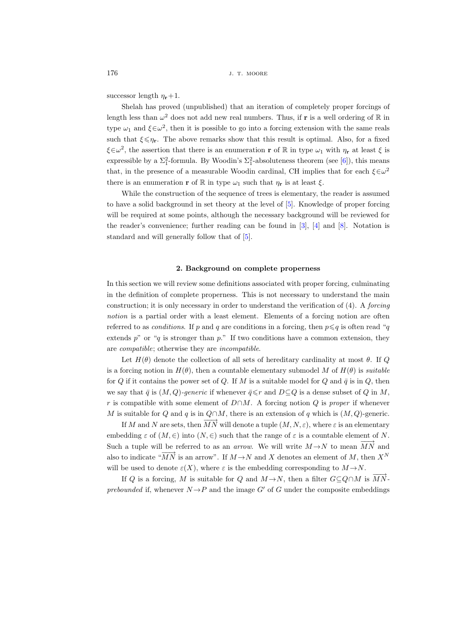successor length  $\eta_{\mathbf{r}}+1$ .

Shelah has proved (unpublished) that an iteration of completely proper forcings of length less than  $\omega^2$  does not add new real numbers. Thus, if **r** is a well ordering of  $\mathbb R$  in type  $\omega_1$  and  $\xi \in \omega^2$ , then it is possible to go into a forcing extension with the same reals such that  $\xi \leq \eta_r$ . The above remarks show that this result is optimal. Also, for a fixed  $\xi \in \omega^2$ , the assertion that there is an enumeration **r** of R in type  $\omega_1$  with  $\eta_r$  at least  $\xi$  is expressible by a  $\Sigma_1^2$ -formula. By Woodin's  $\Sigma_1^2$ -absoluteness theorem (see [\[6\]](#page-10-6)), this means that, in the presence of a measurable Woodin cardinal, CH implies that for each  $\xi \in \omega^2$ there is an enumeration **r** of R in type  $\omega_1$  such that  $\eta_r$  is at least  $\xi$ .

While the construction of the sequence of trees is elementary, the reader is assumed to have a solid background in set theory at the level of [\[5\]](#page-10-7). Knowledge of proper forcing will be required at some points, although the necessary background will be reviewed for the reader's convenience; further reading can be found in [\[3\]](#page-10-8), [\[4\]](#page-10-4) and [\[8\]](#page-10-3). Notation is standard and will generally follow that of [\[5\]](#page-10-7).

#### 2. Background on complete properness

In this section we will review some definitions associated with proper forcing, culminating in the definition of complete properness. This is not necessary to understand the main construction; it is only necessary in order to understand the verification of (4). A forcing notion is a partial order with a least element. Elements of a forcing notion are often referred to as *conditions*. If p and q are conditions in a forcing, then  $p \leq q$  is often read "q extends  $p''$  or "q is stronger than  $p$ ." If two conditions have a common extension, they are compatible; otherwise they are incompatible.

Let  $H(\theta)$  denote the collection of all sets of hereditary cardinality at most  $\theta$ . If Q is a forcing notion in  $H(\theta)$ , then a countable elementary submodel M of  $H(\theta)$  is *suitable* for Q if it contains the power set of Q. If M is a suitable model for Q and  $\bar{q}$  is in Q, then we say that  $\bar{q}$  is  $(M, Q)$ -generic if whenever  $\bar{q} \leq r$  and  $D \subseteq Q$  is a dense subset of Q in M, r is compatible with some element of  $D \cap M$ . A forcing notion Q is proper if whenever M is suitable for Q and q is in  $Q \cap M$ , there is an extension of q which is  $(M, Q)$ -generic.

If M and N are sets, then  $\overrightarrow{MN}$  will denote a tuple  $(M, N, \varepsilon)$ , where  $\varepsilon$  is an elementary embedding  $\varepsilon$  of  $(M, \in)$  into  $(N, \in)$  such that the range of  $\varepsilon$  is a countable element of N. Such a tuple will be referred to as an *arrow*. We will write  $M \rightarrow N$  to mean  $\overrightarrow{MN}$  and also to indicate " $\overline{MN}$  is an arrow". If  $M \rightarrow N$  and X denotes an element of M, then  $X^N$ will be used to denote  $\varepsilon(X)$ , where  $\varepsilon$  is the embedding corresponding to  $M \rightarrow N$ .

If Q is a forcing, M is suitable for Q and  $M \rightarrow N$ , then a filter  $G \subseteq Q \cap M$  is  $\overrightarrow{MN}$ . prebounded if, whenever  $N \rightarrow P$  and the image G' of G under the composite embeddings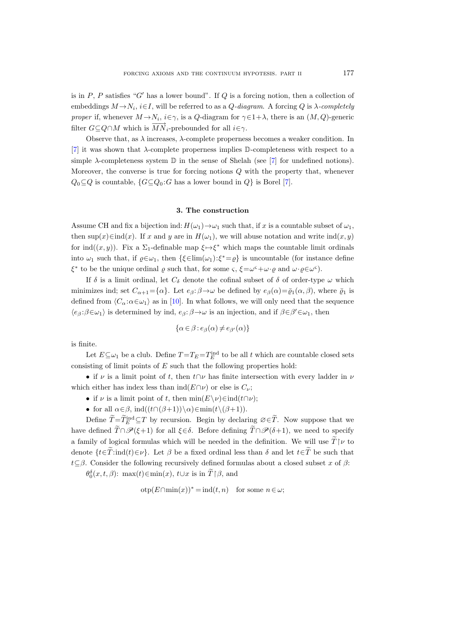is in P, P satisfies "G' has a lower bound". If Q is a forcing notion, then a collection of embeddings  $M \rightarrow N_i$ ,  $i \in I$ , will be referred to as a  $Q$ -diagram. A forcing Q is  $\lambda$ -completely proper if, whenever  $M \to N_i$ ,  $i \in \gamma$ , is a Q-diagram for  $\gamma \in 1+\lambda$ , there is an  $(M, Q)$ -generic filter  $G \subseteq Q \cap M$  which is  $\overrightarrow{MN}_i$ -prebounded for all  $i \in \gamma$ .

Observe that, as  $\lambda$  increases,  $\lambda$ -complete properness becomes a weaker condition. In [\[7\]](#page-10-2) it was shown that  $\lambda$ -complete properness implies D-completeness with respect to a simple  $\lambda$ -completeness system  $\mathbb D$  in the sense of Shelah (see [\[7\]](#page-10-2) for undefined notions). Moreover, the converse is true for forcing notions  $Q$  with the property that, whenever  $Q_0 \subseteq Q$  is countable,  $\{G \subseteq Q_0 : G \text{ has a lower bound in } Q\}$  is Borel [\[7\]](#page-10-2).

#### 3. The construction

Assume CH and fix a bijection ind:  $H(\omega_1) \rightarrow \omega_1$  such that, if x is a countable subset of  $\omega_1$ , then  $\sup(x) \in \text{ind}(x)$ . If x and y are in  $H(\omega_1)$ , we will abuse notation and write  $\text{ind}(x, y)$ for ind $((x, y))$ . Fix a  $\Sigma_1$ -definable map  $\xi \mapsto \xi^*$  which maps the countable limit ordinals into  $\omega_1$  such that, if  $\varrho \in \omega_1$ , then  $\{\xi \in \lim(\omega_1): \xi^* = \varrho\}$  is uncountable (for instance define  $\xi^*$  to be the unique ordinal  $\varrho$  such that, for some  $\varsigma$ ,  $\xi = \omega^{\varsigma} + \omega \cdot \varrho$  and  $\omega \cdot \varrho \in \omega^{\varsigma}$ .

If  $\delta$  is a limit ordinal, let  $C_{\delta}$  denote the cofinal subset of  $\delta$  of order-type  $\omega$  which minimizes ind; set  $C_{\alpha+1} = {\alpha}$ . Let  $e_{\beta}: \beta \to \omega$  be defined by  $e_{\beta}(\alpha) = \overline{\varrho}_1(\alpha, \beta)$ , where  $\overline{\varrho}_1$  is defined from  $\langle C_\alpha : \alpha \in \omega_1 \rangle$  as in [\[10\]](#page-10-9). In what follows, we will only need that the sequence  $\langle e_\beta:\beta{\in}\omega_1\rangle$  is determined by ind,  $e_\beta:\beta{\to}\omega$  is an injection, and if  $\beta{\in}\beta'{\in}\omega_1$ , then

$$
\{\alpha\in\beta: e_\beta(\alpha)\neq e_{\beta'}(\alpha)\}
$$

is finite.

Let  $E \subseteq \omega_1$  be a club. Define  $T = T_E = T_E^{\text{ind}}$  to be all t which are countable closed sets consisting of limit points of  $E$  such that the following properties hold:

• if  $\nu$  is a limit point of t, then  $t \cap \nu$  has finite intersection with every ladder in  $\nu$ which either has index less than  $\text{ind}(E \cap \nu)$  or else is  $C_{\nu}$ ;

- if  $\nu$  is a limit point of t, then  $\min(E\setminus\nu)\in\mathrm{ind}(t\cap\nu);$
- for all  $\alpha \in \beta$ , ind $((t \cap (\beta+1))\setminus \alpha) \in \min(t \setminus (\beta+1)).$

Define  $\widetilde{T} = \widetilde{T}_{E}^{\text{ind}} \subseteq T$  by recursion. Begin by declaring  $\varnothing \in \widetilde{T}$ . Now suppose that we have defined  $\hat{T} \cap \mathscr{P}(\xi+1)$  for all  $\xi \in \delta$ . Before defining  $\tilde{T} \cap \mathscr{P}(\delta+1)$ , we need to specify a family of logical formulas which will be needed in the definition. We will use  $\widetilde{T}\vert \nu$  to denote  $\{t \in \tilde{T}:\text{ind}(t)\in \nu\}$ . Let  $\beta$  be a fixed ordinal less than  $\delta$  and let  $t \in \tilde{T}$  be such that  $t\subseteq\beta$ . Consider the following recursively defined formulas about a closed subset x of  $\beta$ :

 $\theta_0^{\delta}(x, t, \beta)$ : max $(t) \in \min(x)$ ,  $t \cup x$  is in  $\widetilde{T} | \beta$ , and

$$
otp(E \cap min(x))^* = ind(t, n) \text{ for some } n \in \omega;
$$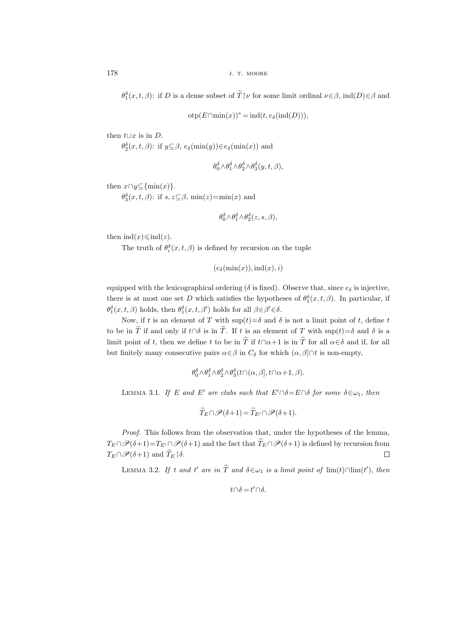$\theta_1^{\delta}(x,t,\beta)$ : if D is a dense subset of  $\widetilde{T}\upharpoonright \nu$  for some limit ordinal  $\nu \in \beta$ , ind $(D) \in \beta$  and

 $otp(E \cap min(x))^* = ind(t, e_\delta(ind(D))),$ 

then  $t∪x$  is in  $D$ .

 $\theta_2^{\delta}(x,t,\beta)$ : if  $y \subseteq \beta$ ,  $e_{\delta}(\min(y)) \in e_{\delta}(\min(x))$  and

$$
\theta_0^{\delta} \wedge \theta_1^{\delta} \wedge \theta_2^{\delta} \wedge \theta_3^{\delta}(y, t, \beta),
$$

then  $x \cap y \subseteq \{\min(x)\}.$ 

 $\theta_3^{\delta}(x,t,\beta)$ : if  $s, z \subseteq \beta$ , min(z)=min(x) and

$$
\theta_0^{\delta} \wedge \theta_1^{\delta} \wedge \theta_2^{\delta}(z, s, \beta),
$$

then  $\operatorname{ind}(x) \leq \operatorname{ind}(z)$ .

The truth of  $\theta_i^{\delta}(x,t,\beta)$  is defined by recursion on the tuple

$$
(e_\delta(\min(x)), \text{ind}(x), i)
$$

equipped with the lexicographical ordering ( $\delta$  is fixed). Observe that, since  $e_{\delta}$  is injective, there is at most one set D which satisfies the hypotheses of  $\theta_1^{\delta}(x,t,\beta)$ . In particular, if  $\theta_1^{\delta}(x,t,\beta)$  holds, then  $\theta_1^{\delta}(x,t,\beta')$  holds for all  $\beta \in \beta' \in \delta$ .

Now, if t is an element of T with  $\sup(t)=\delta$  and  $\delta$  is not a limit point of t, define t to be in  $\widetilde{T}$  if and only if  $t \cap \delta$  is in  $\widetilde{T}$ . If t is an element of T with sup(t)= $\delta$  and  $\delta$  is a limit point of t, then we define t to be in  $\tilde{T}$  if  $t \cap \alpha + 1$  is in  $\tilde{T}$  for all  $\alpha \in \delta$  and if, for all but finitely many consecutive pairs  $\alpha \in \beta$  in  $C_{\delta}$  for which  $(\alpha, \beta] \cap t$  is non-empty,

$$
\theta_0^{\delta} \wedge \theta_1^{\delta} \wedge \theta_2^{\delta} \wedge \theta_3^{\delta} (t \cap (\alpha, \beta], t \cap \alpha + 1, \beta).
$$

<span id="page-5-1"></span>LEMMA 3.1. If E and E' are clubs such that  $E' \cap \delta = E \cap \delta$  for some  $\delta \in \omega_1$ , then

$$
\widetilde{T}_E \cap \mathscr{P}(\delta+1) = \widetilde{T}_{E'} \cap \mathscr{P}(\delta+1).
$$

Proof. This follows from the observation that, under the hypotheses of the lemma,  $T_E \cap \mathscr{P}(\delta+1)=T_{E'} \cap \mathscr{P}(\delta+1)$  and the fact that  $\widetilde{T}_E \cap \mathscr{P}(\delta+1)$  is defined by recursion from  $T_E \cap \mathscr{P}(\delta+1)$  and  $\widetilde{T}_E \upharpoonright \delta$ .  $T_E \cap \mathscr{P}(\delta+1)$  and  $\widetilde{T}_E \upharpoonright \delta$ .

<span id="page-5-0"></span>LEMMA 3.2. If t and t' are in  $\tilde{T}$  and  $\delta \in \omega_1$  is a limit point of  $\lim(t) \cap \lim(t')$ , then

$$
t\cap \delta = t'\cap \delta.
$$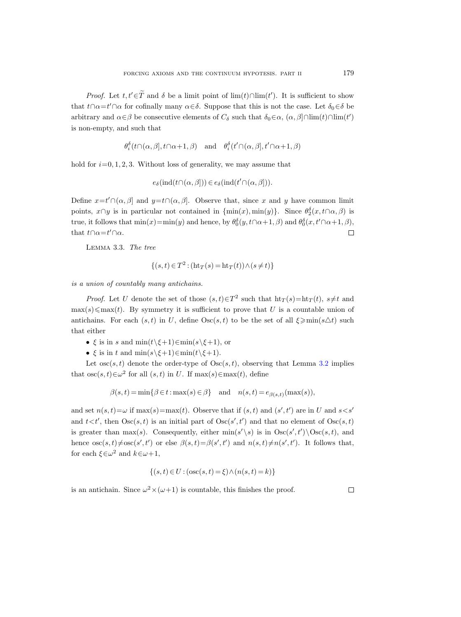*Proof.* Let  $t, t' \in \hat{T}$  and  $\delta$  be a limit point of lim(t)∩lim(t'). It is sufficient to show that  $t \cap \alpha = t' \cap \alpha$  for cofinally many  $\alpha \in \delta$ . Suppose that this is not the case. Let  $\delta_0 \in \delta$  be arbitrary and  $\alpha \in \beta$  be consecutive elements of  $C_{\delta}$  such that  $\delta_0 \in \alpha$ ,  $(\alpha, \beta] \cap \lim(t) \cap \lim(t')$ is non-empty, and such that

$$
\theta_i^{\delta}(t \cap (\alpha, \beta], t \cap \alpha + 1, \beta)
$$
 and  $\theta_i^{\delta}(t' \cap (\alpha, \beta], t' \cap \alpha + 1, \beta)$ 

hold for  $i=0, 1, 2, 3$ . Without loss of generality, we may assume that

$$
e_{\delta}(\mathrm{ind}(t\cap(\alpha,\beta]))\in e_{\delta}(\mathrm{ind}(t'\cap(\alpha,\beta))).
$$

Define  $x=t'\cap(\alpha,\beta]$  and  $y=t\cap(\alpha,\beta]$ . Observe that, since x and y have common limit points,  $x \cap y$  is in particular not contained in  $\{\min(x), \min(y)\}\$ . Since  $\theta_2^{\delta}(x, t \cap \alpha, \beta)$  is true, it follows that  $\min(x) = \min(y)$  and hence, by  $\theta_0^{\delta}(y, t \cap \alpha + 1, \beta)$  and  $\theta_0^{\delta}(x, t' \cap \alpha + 1, \beta)$ , that  $t \cap \alpha = t' \cap \alpha$ .  $\Box$ 

Lemma 3.3. The tree

$$
\{(s,t)\in T^2 : (\text{ht}_T(s) = \text{ht}_T(t)) \wedge (s \neq t)\}\
$$

is a union of countably many antichains.

*Proof.* Let U denote the set of those  $(s,t) \in T^2$  such that  $\mathrm{ht}_T(s) = \mathrm{ht}_T(t)$ ,  $s \neq t$  and  $\max(s) \leq \max(t)$ . By symmetry it is sufficient to prove that U is a countable union of antichains. For each  $(s, t)$  in U, define  $\text{Osc}(s, t)$  to be the set of all  $\xi \geqslant \min(s \triangle t)$  such that either

- ξ is in s and  $\min(t \setminus \xi + 1) \in \min(s \setminus \xi + 1)$ , or
- ξ is in t and  $\min(s\setminus\xi+1)\in\min(t\setminus\xi+1)$ .

Let  $\csc(s, t)$  denote the order-type of  $\csc(s, t)$ , observing that Lemma [3.2](#page-5-0) implies that  $\csc(s, t) \in \omega^2$  for all  $(s, t)$  in U. If  $\max(s) \in \max(t)$ , define

$$
\beta(s,t) = \min\{\beta \in t : \max(s) \in \beta\} \quad \text{and} \quad n(s,t) = e_{\beta(s,t)}(\max(s)),
$$

and set  $n(s,t) = \omega$  if  $\max(s) = \max(t)$ . Observe that if  $(s, t)$  and  $(s', t')$  are in U and  $s < s'$ and  $t < t'$ , then  $Osc(s, t)$  is an initial part of  $Osc(s', t')$  and that no element of  $Osc(s, t)$ is greater than max(s). Consequently, either  $\min(s' \setminus s)$  is in  $\text{Osc}(s', t') \setminus \text{Osc}(s, t)$ , and hence  $\csc(s,t) \neq \csc(s',t')$  or else  $\beta(s,t) = \beta(s',t')$  and  $n(s,t) \neq n(s',t')$ . It follows that, for each  $\xi \in \omega^2$  and  $k \in \omega + 1$ ,

$$
\{(s,t) \in U : (\csc(s,t) = \xi) \land (n(s,t) = k)\}\
$$

is an antichain. Since  $\omega^2 \times (\omega + 1)$  is countable, this finishes the proof.

 $\Box$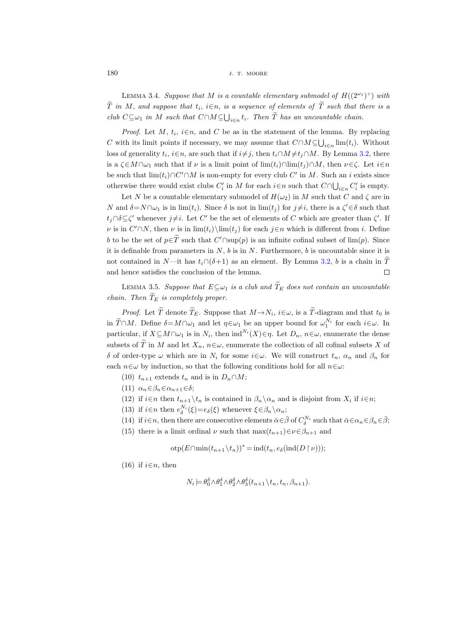$180$  J. T. MOORE

<span id="page-7-0"></span>LEMMA 3.4. Suppose that M is a countable elementary submodel of  $H((2^{\omega_1})^+)$  with T in M, and suppose that  $t_i$ ,  $i \in n$ , is a sequence of elements of T such that there is a club  $C \subseteq \omega_1$  in M such that  $C \cap M \subseteq \bigcup_{i \in n} t_i$ . Then T has an uncountable chain.

*Proof.* Let M,  $t_i$ ,  $i \in n$ , and C be as in the statement of the lemma. By replacing C with its limit points if necessary, we may assume that  $C \cap M \subseteq \bigcup_{i \in n} \lim(t_i)$ . Without loss of generality  $t_i$ ,  $i \in n$ , are such that if  $i \neq j$ , then  $t_i \cap M \neq t_j \cap M$ . By Lemma [3.2,](#page-5-0) there is a  $\zeta \in M \cap \omega_1$  such that if  $\nu$  is a limit point of  $\lim(t_i) \cap \lim(t_i) \cap M$ , then  $\nu \in \zeta$ . Let  $i \in n$ be such that  $\lim_{i \to \infty} (t_i) \cap C' \cap M$  is non-empty for every club  $C'$  in M. Such an i exists since otherwise there would exist clubs  $C_i'$  in M for each  $i \in n$  such that  $C \cap \bigcup_{i \in n} C_i'$  is empty.

Let N be a countable elementary submodel of  $H(\omega_2)$  in M such that C and  $\zeta$  are in N and  $\delta = N \cap \omega_1$  is in lim $(t_i)$ . Since  $\delta$  is not in lim $(t_j)$  for  $j \neq i$ , there is a  $\zeta' \in \delta$  such that  $t_j \cap \delta \subseteq \zeta'$  whenever  $j \neq i$ . Let C' be the set of elements of C which are greater than  $\zeta'$ . If v is in  $C' \cap N$ , then v is in  $\lim(t_i) \dim(t_j)$  for each  $j \in n$  which is different from i. Define b to be the set of  $p \in \overline{T}$  such that  $C' \cap \text{sup}(p)$  is an infinite cofinal subset of  $\lim(p)$ . Since it is definable from parameters in  $N$ ,  $b$  is in  $N$ . Furthermore,  $b$  is uncountable since it is not contained in N—it has  $t_i∩(δ+1)$  as an element. By Lemma [3.2,](#page-5-0) *b* is a chain in  $\overline{T}$  and hence satisfies the conclusion of the lemma. and hence satisfies the conclusion of the lemma.

LEMMA 3.5. Suppose that  $E \subseteq \omega_1$  is a club and  $\widetilde{T}_E$  does not contain an uncountable chain. Then  $\widetilde{T}_E$  is completely proper.

*Proof.* Let T denote  $T_E$ . Suppose that  $M \to N_i$ ,  $i \in \omega$ , is a T-diagram and that  $t_0$  is in  $\widetilde{T}\cap M$ . Define  $\delta=M\cap\omega_1$  and let  $\eta\in\omega_1$  be an upper bound for  $\omega_1^{N_i}$  for each  $i\in\omega$ . In particular, if  $X \subseteq M \cap \omega_1$  is in  $N_i$ , then  $\text{ind}^{N_i}(X) \in \eta$ . Let  $D_n$ ,  $n \in \omega$ , enumerate the dense subsets of  $\tilde{T}$  in M and let  $X_n$ ,  $n \in \omega$ , enumerate the collection of all cofinal subsets X of δ of order-type  $ω$  which are in  $N_i$  for some  $i ∈ ω$ . We will construct  $t_n$ ,  $α_n$  and  $β_n$  for each  $n \in \omega$  by induction, so that the following conditions hold for all  $n \in \omega$ :

- (10)  $t_{n+1}$  extends  $t_n$  and is in  $D_n \cap M$ ;
- (11)  $\alpha_n \in \beta_n \in \alpha_{n+1} \in \delta;$
- (12) if  $i \in n$  then  $t_{n+1} \backslash t_n$  is contained in  $\beta_n \backslash \alpha_n$  and is disjoint from  $X_i$  if  $i \in n$ ;
- (13) if  $i \in n$  then  $e_{\delta}^{N_i}(\xi) = e_{\delta}(\xi)$  whenever  $\xi \in \beta_n \setminus \alpha_n$ ;
- (14) if  $i \in n$ , then there are consecutive elements  $\bar{\alpha} \in \bar{\beta}$  of  $C_{\delta}^{N_i}$  such that  $\bar{\alpha} \in \alpha_n \in \beta_n \in \bar{\beta}$ ;
- (15) there is a limit ordinal  $\nu$  such that  $\max(t_{n+1}) \in \nu \in \beta_{n+1}$  and

 $\operatorname{otp}(E \cap \min(t_{n+1} \setminus t_n))^* = \operatorname{ind}(t_n, e_\delta(\operatorname{ind}(D \restriction \nu)))$ ;

(16) if  $i \in n$ , then

$$
N_i \models \theta_0^{\delta} \wedge \theta_1^{\delta} \wedge \theta_2^{\delta} \wedge \theta_3^{\delta} (t_{n+1} \backslash t_n, t_n, \beta_{n+1}).
$$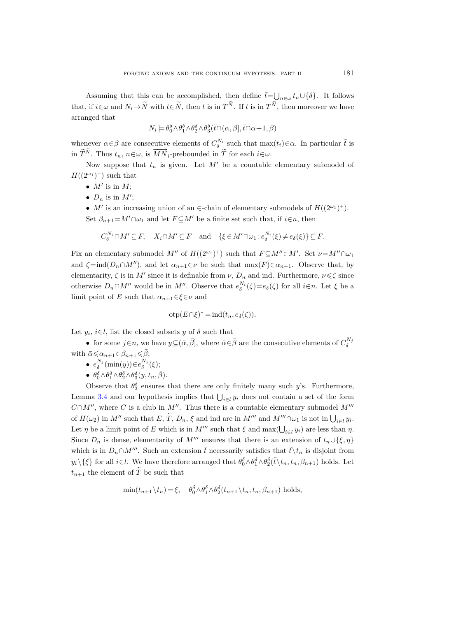Assuming that this can be accomplished, then define  $\bar{t} = \bigcup_{n \in \omega} t_n \cup \{\delta\}$ . It follows that, if  $i \in \omega$  and  $N_i \to \tilde{N}$  with  $\bar{t} \in \tilde{N}$ , then  $\bar{t}$  is in  $T^N$ . If  $\bar{t}$  is in  $T^N$ , then moreover we have arranged that

$$
N_i \models \theta_0^{\delta} \wedge \theta_1^{\delta} \wedge \theta_2^{\delta} \wedge \theta_3^{\delta}(\bar{t} \cap (\alpha, \beta], \bar{t} \cap \alpha + 1, \beta)
$$

whenever  $\alpha \in \beta$  are consecutive elements of  $C_{\delta}^{N_i}$  such that  $\max(t_i) \in \alpha$ . In particular  $\bar{t}$  is in  $\widetilde{T}^{\widetilde{N}}$ . Thus  $t_n$ ,  $n \in \omega$ , is  $\overrightarrow{MN}_i$ -prebounded in  $\widetilde{T}$  for each  $i \in \omega$ .

Now suppose that  $t_n$  is given. Let  $M'$  be a countable elementary submodel of  $H((2^{\omega_1})^+)$  such that

- $M'$  is in  $M$ ;
- $D_n$  is in  $M'$ ;

• M' is an increasing union of an  $\in$ -chain of elementary submodels of  $H((2^{\omega_1})^+)$ . Set  $\beta_{n+1}=M'\cap\omega_1$  and let  $F\subseteq M'$  be a finite set such that, if  $i\in n$ , then

$$
C_{\delta}^{N_i} \cap M' \subseteq F, \quad X_i \cap M' \subseteq F \quad \text{and} \quad \{\xi \in M' \cap \omega_1 : e_{\delta}^{N_i}(\xi) \neq e_{\delta}(\xi)\} \subseteq F.
$$

Fix an elementary submodel  $M''$  of  $H((2^{\omega_1})^+)$  such that  $F \subseteq M'' \in M'$ . Set  $\nu = M'' \cap \omega_1$ and  $\zeta = \text{ind}(D_n \cap M'')$ , and let  $\alpha_{n+1} \in \nu$  be such that  $\max(F) \in \alpha_{n+1}$ . Observe that, by elementarity,  $\zeta$  is in M' since it is definable from  $\nu$ ,  $D_n$  and ind. Furthermore,  $\nu \leq \zeta$  since otherwise  $D_n \cap M''$  would be in M''. Observe that  $e_{\delta}^{N_i}(\zeta) = e_{\delta}(\zeta)$  for all  $i \in n$ . Let  $\xi$  be a limit point of E such that  $\alpha_{n+1} \in \xi \in \nu$  and

$$
otp(E \cap \xi)^* = ind(t_n, e_\delta(\zeta)).
$$

Let  $y_i$ ,  $i \in l$ , list the closed subsets y of  $\delta$  such that

• for some  $j \in n$ , we have  $y \subseteq (\bar{\alpha}, \bar{\beta}]$ , where  $\bar{\alpha} \in \bar{\beta}$  are the consecutive elements of  $C_{\delta}^{N_j}$ with  $\bar{\alpha} \leq \alpha_{n+1} \in \beta_{n+1} \leq \bar{\beta}$ ;

- $e_{\delta}^{N_j}(\min(y)) \in e_{\delta}^{N_j}(\xi);$
- $\theta_0^{\delta} \wedge \theta_1^{\delta} \wedge \theta_2^{\delta} \wedge \theta_3^{\delta}(y, t_n, \bar{\beta}).$

Observe that  $\theta_3^{\delta}$  ensures that there are only finitely many such y's. Furthermore, Lemma [3.4](#page-7-0) and our hypothesis implies that  $\bigcup_{i\in I} y_i$  does not contain a set of the form  $C \cap M''$ , where C is a club in  $M''$ . Thus there is a countable elementary submodel  $M'''$ of  $H(\omega_2)$  in M'' such that  $E, T, D_n, \xi$  and ind are in M''' and M''' $\cap \omega_1$  is not in  $\bigcup_{i \in l} y_i$ . Let  $\eta$  be a limit point of E which is in M<sup>om</sup> such that  $\xi$  and max $(\bigcup_{i\in l} y_i)$  are less than  $\eta$ . Since  $D_n$  is dense, elementarity of M<sup>00</sup> ensures that there is an extension of  $t_n \cup \{\xi, \eta\}$ which is in  $D_n \cap M'''$ . Such an extension  $\tilde{t}$  necessarily satisfies that  $\tilde{t} \setminus t_n$  is disjoint from  $y_i\setminus\{\xi\}$  for all  $i\in l$ . We have therefore arranged that  $\theta_0^{\delta}\wedge\theta_1^{\delta}\wedge\theta_2^{\delta}(\tilde{t}\setminus t_n, t_n, \beta_{n+1})$  holds. Let  $t_{n+1}$  the element of  $\widetilde{T}$  be such that

$$
\min(t_{n+1}\backslash t_n) = \xi, \quad \theta_0^{\delta} \wedge \theta_1^{\delta} \wedge \theta_2^{\delta}(t_{n+1}\backslash t_n, t_n, \beta_{n+1}) \text{ holds},
$$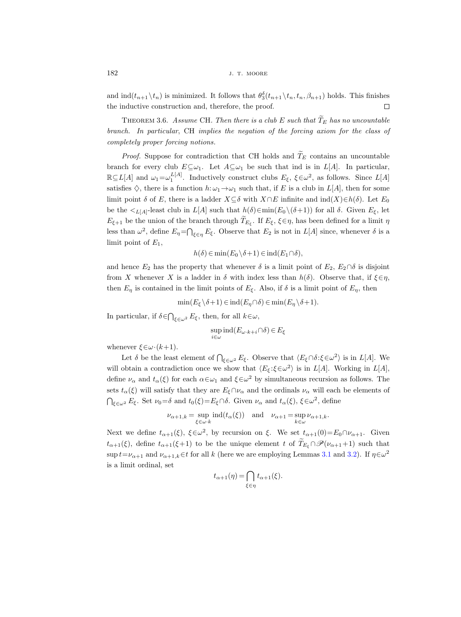$182$  J. T. MOORE

and  $\text{ind}(t_{n+1} \setminus t_n)$  is minimized. It follows that  $\theta_3^{\delta}(t_{n+1} \setminus t_n, t_n, \beta_{n+1})$  holds. This finishes the inductive construction and, therefore, the proof.  $\Box$ 

<span id="page-9-0"></span>THEOREM 3.6. Assume CH. Then there is a club E such that  $\widetilde{T}_E$  has no uncountable branch. In particular, CH implies the negation of the forcing axiom for the class of completely proper forcing notions.

*Proof.* Suppose for contradiction that CH holds and  $\widetilde{T}_E$  contains an uncountable branch for every club  $E \subseteq \omega_1$ . Let  $A \subseteq \omega_1$  be such that ind is in  $L[A]$ . In particular,  $\mathbb{R}\subseteq L[A]$  and  $\omega_1=\omega_1^{L[A]}$ . Inductively construct clubs  $E_{\xi}$ ,  $\xi \in \omega^2$ , as follows. Since  $L[A]$ satisfies  $\diamondsuit$ , there is a function  $h:\omega_1\to\omega_1$  such that, if E is a club in  $L[A]$ , then for some limit point  $\delta$  of E, there is a ladder  $X\subseteq \delta$  with  $X\cap E$  infinite and  $\text{ind}(X)\in h(\delta)$ . Let  $E_0$ be the  $\lt_{L[A]}$ -least club in  $L[A]$  such that  $h(\delta) \in \min(E_0 \setminus (\delta + 1))$  for all  $\delta$ . Given  $E_{\xi}$ , let  $E_{\xi+1}$  be the union of the branch through  $T_{E_{\xi}}$ . If  $E_{\xi}$ ,  $\xi \in \eta$ , has been defined for a limit  $\eta$ less than  $\omega^2$ , define  $E_\eta = \bigcap_{\xi \in \eta} E_\xi$ . Observe that  $E_2$  is not in  $L[A]$  since, whenever  $\delta$  is a limit point of  $E_1$ ,

$$
h(\delta) \in \min(E_0 \backslash \delta + 1) \in \mathrm{ind}(E_1 \cap \delta),
$$

and hence  $E_2$  has the property that whenever  $\delta$  is a limit point of  $E_2$ ,  $E_2 \cap \delta$  is disjoint from X whenever X is a ladder in  $\delta$  with index less than  $h(\delta)$ . Observe that, if  $\xi \in \eta$ , then  $E_n$  is contained in the limit points of  $E_{\xi}$ . Also, if  $\delta$  is a limit point of  $E_n$ , then

$$
\min(E_{\xi} \setminus \delta + 1) \in \text{ind}(E_{\eta} \cap \delta) \in \min(E_{\eta} \setminus \delta + 1).
$$

In particular, if  $\delta \in \bigcap_{\xi \in \omega^2} E_{\xi}$ , then, for all  $k \in \omega$ ,

$$
\sup_{i\in\omega}\operatorname{ind}(E_{\omega\cdot k+i}\cap\delta)\in E_\xi
$$

whenever  $\xi \in \omega \cdot (k+1)$ .

Let  $\delta$  be the least element of  $\bigcap_{\xi \in \omega^2} E_{\xi}$ . Observe that  $\langle E_{\xi} \cap \delta : \xi \in \omega^2 \rangle$  is in  $L[A]$ . We will obtain a contradiction once we show that  $\langle E_{\xi} : \xi \in \omega^2 \rangle$  is in  $L[A]$ . Working in  $L[A]$ , define  $\nu_{\alpha}$  and  $t_{\alpha}(\xi)$  for each  $\alpha \in \omega_1$  and  $\xi \in \omega^2$  by simultaneous recursion as follows. The sets  $t_\alpha(\xi)$  will satisfy that they are  $E_{\xi} \cap \nu_\alpha$  and the ordinals  $\nu_\alpha$  will each be elements of  $\bigcap_{\xi \in \omega^2} E_{\xi}$ . Set  $\nu_0 = \delta$  and  $t_0(\xi) = E_{\xi} \cap \delta$ . Given  $\nu_{\alpha}$  and  $t_{\alpha}(\xi)$ ,  $\xi \in \omega^2$ , define

$$
\nu_{\alpha+1,k} = \sup_{\xi \in \omega \cdot k} \operatorname{ind}(t_{\alpha}(\xi)) \quad \text{and} \quad \nu_{\alpha+1} = \sup_{k \in \omega} \nu_{\alpha+1,k}.
$$

Next we define  $t_{\alpha+1}(\xi)$ ,  $\xi \in \omega^2$ , by recursion on  $\xi$ . We set  $t_{\alpha+1}(0) = E_0 \cap \nu_{\alpha+1}$ . Given  $t_{\alpha+1}(\xi)$ , define  $t_{\alpha+1}(\xi+1)$  to be the unique element t of  $\widetilde{T}_{E_{\xi}} \cap \mathscr{P}(\nu_{\alpha+1}+1)$  such that  $\sup t=\nu_{\alpha+1}$  and  $\nu_{\alpha+1,k}\in t$  for all k (here we are employing Lemmas [3.1](#page-5-1) and [3.2\)](#page-5-0). If  $\eta\in\omega^2$ is a limit ordinal, set

$$
t_{\alpha+1}(\eta) = \bigcap_{\xi \in \eta} t_{\alpha+1}(\xi).
$$